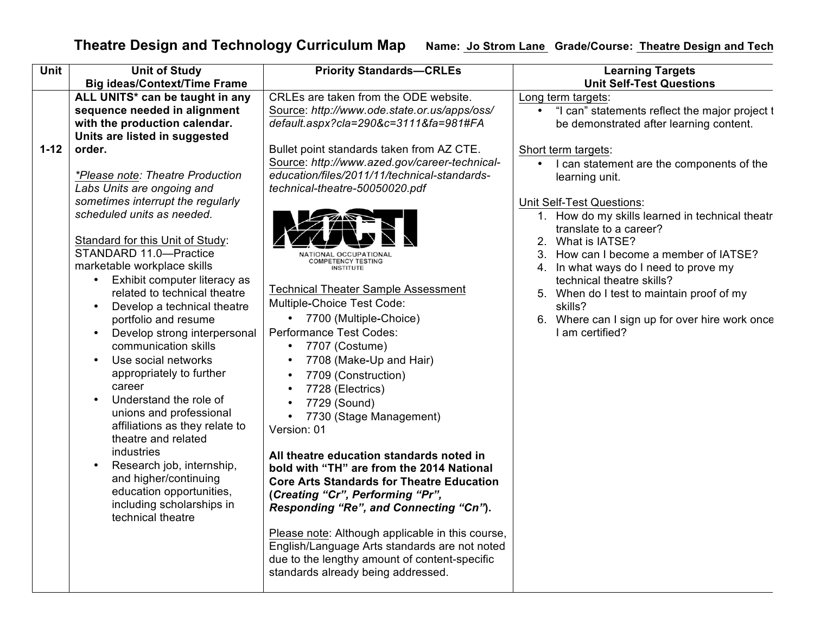## **Theatre Design and Technology Curriculum Map** Name: Jo Strom Lane Grade/Course: Theatre Design and Tech

| Unit               | <b>Unit of Study</b>                                                                                                                                                                                                                                                                                                                                                                                                                                                                                                                                                                                                                                                                                                                                                                                                                                                                                                   | <b>Priority Standards-CRLEs</b>                                                                                                                                                                                                                                                                                                                                                                                                                                                                                                                                                                                                                                                                                                                                                                                                                                                                                                                                           | <b>Learning Targets</b>                                                                                                                                                                                                                                                                                                                                                                                                                                                                                                                                                                                                          |
|--------------------|------------------------------------------------------------------------------------------------------------------------------------------------------------------------------------------------------------------------------------------------------------------------------------------------------------------------------------------------------------------------------------------------------------------------------------------------------------------------------------------------------------------------------------------------------------------------------------------------------------------------------------------------------------------------------------------------------------------------------------------------------------------------------------------------------------------------------------------------------------------------------------------------------------------------|---------------------------------------------------------------------------------------------------------------------------------------------------------------------------------------------------------------------------------------------------------------------------------------------------------------------------------------------------------------------------------------------------------------------------------------------------------------------------------------------------------------------------------------------------------------------------------------------------------------------------------------------------------------------------------------------------------------------------------------------------------------------------------------------------------------------------------------------------------------------------------------------------------------------------------------------------------------------------|----------------------------------------------------------------------------------------------------------------------------------------------------------------------------------------------------------------------------------------------------------------------------------------------------------------------------------------------------------------------------------------------------------------------------------------------------------------------------------------------------------------------------------------------------------------------------------------------------------------------------------|
| $1 - 12$<br>order. | <b>Big ideas/Context/Time Frame</b><br>ALL UNITS* can be taught in any<br>sequence needed in alignment<br>with the production calendar.<br>Units are listed in suggested<br>*Please note: Theatre Production<br>Labs Units are ongoing and<br>sometimes interrupt the regularly<br>scheduled units as needed.<br>Standard for this Unit of Study:<br>STANDARD 11.0-Practice<br>marketable workplace skills<br>Exhibit computer literacy as<br>related to technical theatre<br>Develop a technical theatre<br>portfolio and resume<br>Develop strong interpersonal<br>communication skills<br>Use social networks<br>appropriately to further<br>career<br>Understand the role of<br>unions and professional<br>affiliations as they relate to<br>theatre and related<br>industries<br>Research job, internship,<br>and higher/continuing<br>education opportunities,<br>including scholarships in<br>technical theatre | CRLEs are taken from the ODE website.<br>Source: http://www.ode.state.or.us/apps/oss/<br>default.aspx?cla=290&c=3111&fa=981#FA<br>Bullet point standards taken from AZ CTE.<br>Source: http://www.azed.gov/career-technical-<br>education/files/2011/11/technical-standards-<br>technical-theatre-50050020.pdf<br>NATIONAL OCCUPATIONAI<br><b>COMPETENCY TESTING</b><br><b>INSTITUTE</b><br><b>Technical Theater Sample Assessment</b><br>Multiple-Choice Test Code:<br>• 7700 (Multiple-Choice)<br>Performance Test Codes:<br>7707 (Costume)<br>$\bullet$<br>7708 (Make-Up and Hair)<br>7709 (Construction)<br>7728 (Electrics)<br>7729 (Sound)<br>7730 (Stage Management)<br>Version: 01<br>All theatre education standards noted in<br>bold with "TH" are from the 2014 National<br><b>Core Arts Standards for Theatre Education</b><br>(Creating "Cr", Performing "Pr",<br>Responding "Re", and Connecting "Cn").<br>Please note: Although applicable in this course, | <b>Unit Self-Test Questions</b><br>Long term targets:<br>"I can" statements reflect the major project t<br>be demonstrated after learning content.<br>Short term targets:<br>• I can statement are the components of the<br>learning unit.<br><b>Unit Self-Test Questions:</b><br>1. How do my skills learned in technical theatr<br>translate to a career?<br>2. What is IATSE?<br>How can I become a member of IATSE?<br>3.<br>4. In what ways do I need to prove my<br>technical theatre skills?<br>5. When do I test to maintain proof of my<br>skills?<br>6. Where can I sign up for over hire work once<br>I am certified? |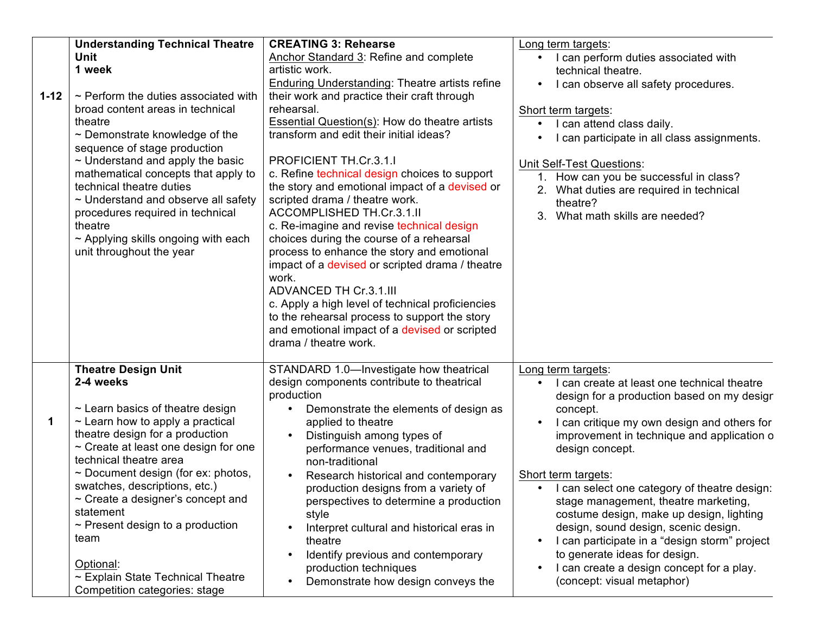|          | <b>Understanding Technical Theatre</b>                                                                                                                                                                                                                                                                                                                                                                                                                                    | <b>CREATING 3: Rehearse</b>                                                                                                                                                                                                                                                                                                                                                                                                                                                                                                                                                                                                                                                                                                                                                                                                                                                        | Long term targets:                                                                                                                                                                                                                                                                                                                                                                                                                                                                                                                                                              | Forn               |
|----------|---------------------------------------------------------------------------------------------------------------------------------------------------------------------------------------------------------------------------------------------------------------------------------------------------------------------------------------------------------------------------------------------------------------------------------------------------------------------------|------------------------------------------------------------------------------------------------------------------------------------------------------------------------------------------------------------------------------------------------------------------------------------------------------------------------------------------------------------------------------------------------------------------------------------------------------------------------------------------------------------------------------------------------------------------------------------------------------------------------------------------------------------------------------------------------------------------------------------------------------------------------------------------------------------------------------------------------------------------------------------|---------------------------------------------------------------------------------------------------------------------------------------------------------------------------------------------------------------------------------------------------------------------------------------------------------------------------------------------------------------------------------------------------------------------------------------------------------------------------------------------------------------------------------------------------------------------------------|--------------------|
| $1 - 12$ | Unit<br>1 week<br>$\sim$ Perform the duties associated with<br>broad content areas in technical<br>theatre<br>$\sim$ Demonstrate knowledge of the<br>sequence of stage production<br>$\sim$ Understand and apply the basic<br>mathematical concepts that apply to<br>technical theatre duties<br>$\sim$ Understand and observe all safety<br>procedures required in technical<br>theatre<br>$\sim$ Applying skills ongoing with each<br>unit throughout the year          | Anchor Standard 3: Refine and complete<br>artistic work.<br>Enduring Understanding: Theatre artists refine<br>their work and practice their craft through<br>rehearsal.<br>Essential Question(s): How do theatre artists<br>transform and edit their initial ideas?<br>PROFICIENT TH.Cr.3.1.I<br>c. Refine technical design choices to support<br>the story and emotional impact of a devised or<br>scripted drama / theatre work.<br>ACCOMPLISHED TH.Cr.3.1.II<br>c. Re-imagine and revise technical design<br>choices during the course of a rehearsal<br>process to enhance the story and emotional<br>impact of a devised or scripted drama / theatre<br>work.<br><b>ADVANCED TH Cr.3.1.III</b><br>c. Apply a high level of technical proficiencies<br>to the rehearsal process to support the story<br>and emotional impact of a devised or scripted<br>drama / theatre work. | I can perform duties associated with<br>technical theatre.<br>I can observe all safety procedures.<br>Short term targets:<br>I can attend class daily.<br>I can participate in all class assignments.<br><b>Unit Self-Test Questions:</b><br>1. How can you be successful in class?<br>2. What duties are required in technical<br>theatre?<br>3. What math skills are needed?                                                                                                                                                                                                  | Sum<br><b>SPIF</b> |
| 1        | <b>Theatre Design Unit</b><br>2-4 weeks<br>$\sim$ Learn basics of theatre design<br>$\sim$ Learn how to apply a practical<br>theatre design for a production<br>$\sim$ Create at least one design for one<br>technical theatre area<br>$\sim$ Document design (for ex: photos,<br>swatches, descriptions, etc.)<br>$\sim$ Create a designer's concept and<br>statement<br>$\sim$ Present design to a production<br>team<br>Optional:<br>~ Explain State Technical Theatre | STANDARD 1.0-Investigate how theatrical<br>design components contribute to theatrical<br>production<br>Demonstrate the elements of design as<br>$\bullet$<br>applied to theatre<br>Distinguish among types of<br>performance venues, traditional and<br>non-traditional<br>Research historical and contemporary<br>production designs from a variety of<br>perspectives to determine a production<br>style<br>Interpret cultural and historical eras in<br>theatre<br>Identify previous and contemporary<br>$\bullet$<br>production techniques                                                                                                                                                                                                                                                                                                                                     | Long term targets:<br>I can create at least one technical theatre<br>design for a production based on my desigr<br>concept.<br>I can critique my own design and others for<br>improvement in technique and application o<br>design concept.<br>Short term targets:<br>• I can select one category of theatre design:<br>stage management, theatre marketing,<br>costume design, make up design, lighting<br>design, sound design, scenic design.<br>I can participate in a "design storm" project<br>to generate ideas for design.<br>I can create a design concept for a play. | Forn<br>Sum        |
|          | Competition categories: stage                                                                                                                                                                                                                                                                                                                                                                                                                                             | Demonstrate how design conveys the                                                                                                                                                                                                                                                                                                                                                                                                                                                                                                                                                                                                                                                                                                                                                                                                                                                 | (concept: visual metaphor)                                                                                                                                                                                                                                                                                                                                                                                                                                                                                                                                                      |                    |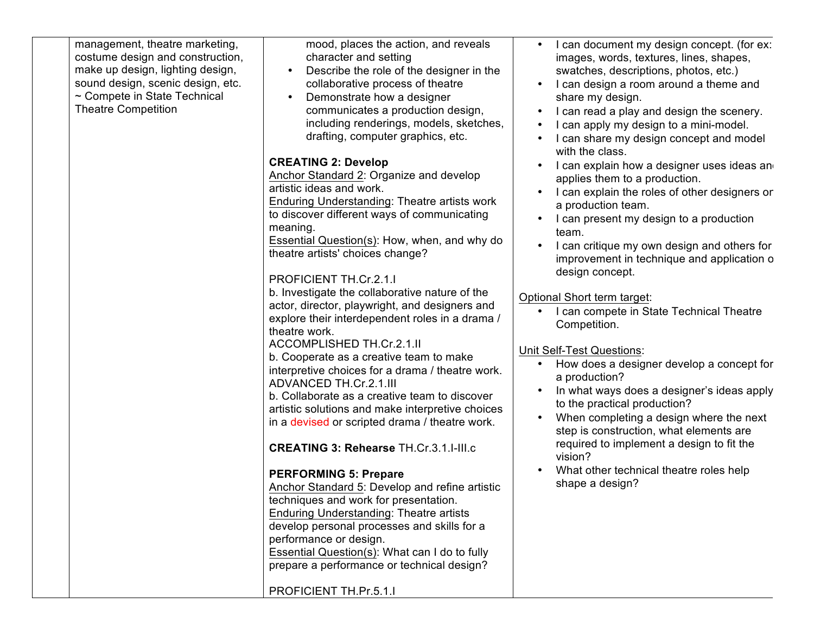| management, theatre marketing,<br>costume design and construction,<br>make up design, lighting design,<br>sound design, scenic design, etc.<br>~ Compete in State Technical<br><b>Theatre Competition</b> | mood, places the action, and reveals<br>character and setting<br>Describe the role of the designer in the<br>collaborative process of theatre<br>Demonstrate how a designer<br>communicates a production design,<br>including renderings, models, sketches,<br>drafting, computer graphics, etc.<br><b>CREATING 2: Develop</b><br>Anchor Standard 2: Organize and develop<br>artistic ideas and work.<br>Enduring Understanding: Theatre artists work<br>to discover different ways of communicating<br>meaning.<br>Essential Question(s): How, when, and why do<br>theatre artists' choices change?<br>PROFICIENT TH.Cr.2.1.I<br>b. Investigate the collaborative nature of the<br>actor, director, playwright, and designers and<br>explore their interdependent roles in a drama /<br>theatre work.<br>ACCOMPLISHED TH.Cr.2.1.II<br>b. Cooperate as a creative team to make<br>interpretive choices for a drama / theatre work.<br>ADVANCED TH.Cr.2.1.III<br>b. Collaborate as a creative team to discover<br>artistic solutions and make interpretive choices<br>in a devised or scripted drama / theatre work.<br><b>CREATING 3: Rehearse TH.Cr.3.1.I-III.c</b><br><b>PERFORMING 5: Prepare</b><br>Anchor Standard 5: Develop and refine artistic<br>techniques and work for presentation.<br><b>Enduring Understanding: Theatre artists</b><br>develop personal processes and skills for a<br>performance or design.<br><b>Essential Question(s): What can I do to fully</b><br>prepare a performance or technical design? | I can document my design concept. (for ex:<br>$\bullet$<br>images, words, textures, lines, shapes,<br>swatches, descriptions, photos, etc.)<br>I can design a room around a theme and<br>share my design.<br>I can read a play and design the scenery.<br>I can apply my design to a mini-model.<br>• I can share my design concept and model<br>with the class.<br>I can explain how a designer uses ideas an<br>applies them to a production.<br>I can explain the roles of other designers or<br>a production team.<br>I can present my design to a production<br>team.<br>I can critique my own design and others for<br>improvement in technique and application o<br>design concept.<br>Optional Short term target:<br>I can compete in State Technical Theatre<br>Competition.<br><b>Unit Self-Test Questions:</b><br>How does a designer develop a concept for<br>$\bullet$<br>a production?<br>In what ways does a designer's ideas apply<br>to the practical production?<br>When completing a design where the next<br>step is construction, what elements are<br>required to implement a design to fit the<br>vision?<br>What other technical theatre roles help<br>shape a design? | <b>SPII</b> |
|-----------------------------------------------------------------------------------------------------------------------------------------------------------------------------------------------------------|----------------------------------------------------------------------------------------------------------------------------------------------------------------------------------------------------------------------------------------------------------------------------------------------------------------------------------------------------------------------------------------------------------------------------------------------------------------------------------------------------------------------------------------------------------------------------------------------------------------------------------------------------------------------------------------------------------------------------------------------------------------------------------------------------------------------------------------------------------------------------------------------------------------------------------------------------------------------------------------------------------------------------------------------------------------------------------------------------------------------------------------------------------------------------------------------------------------------------------------------------------------------------------------------------------------------------------------------------------------------------------------------------------------------------------------------------------------------------------------------------------------------------------|------------------------------------------------------------------------------------------------------------------------------------------------------------------------------------------------------------------------------------------------------------------------------------------------------------------------------------------------------------------------------------------------------------------------------------------------------------------------------------------------------------------------------------------------------------------------------------------------------------------------------------------------------------------------------------------------------------------------------------------------------------------------------------------------------------------------------------------------------------------------------------------------------------------------------------------------------------------------------------------------------------------------------------------------------------------------------------------------------------------------------------------------------------------------------------------------|-------------|
|                                                                                                                                                                                                           | PROFICIENT TH.Pr.5.1.I                                                                                                                                                                                                                                                                                                                                                                                                                                                                                                                                                                                                                                                                                                                                                                                                                                                                                                                                                                                                                                                                                                                                                                                                                                                                                                                                                                                                                                                                                                           |                                                                                                                                                                                                                                                                                                                                                                                                                                                                                                                                                                                                                                                                                                                                                                                                                                                                                                                                                                                                                                                                                                                                                                                                |             |
|                                                                                                                                                                                                           |                                                                                                                                                                                                                                                                                                                                                                                                                                                                                                                                                                                                                                                                                                                                                                                                                                                                                                                                                                                                                                                                                                                                                                                                                                                                                                                                                                                                                                                                                                                                  |                                                                                                                                                                                                                                                                                                                                                                                                                                                                                                                                                                                                                                                                                                                                                                                                                                                                                                                                                                                                                                                                                                                                                                                                |             |

 $\bullet$  $\bullet$  $\bullet$  $\bullet$  $\bullet$  $\bullet$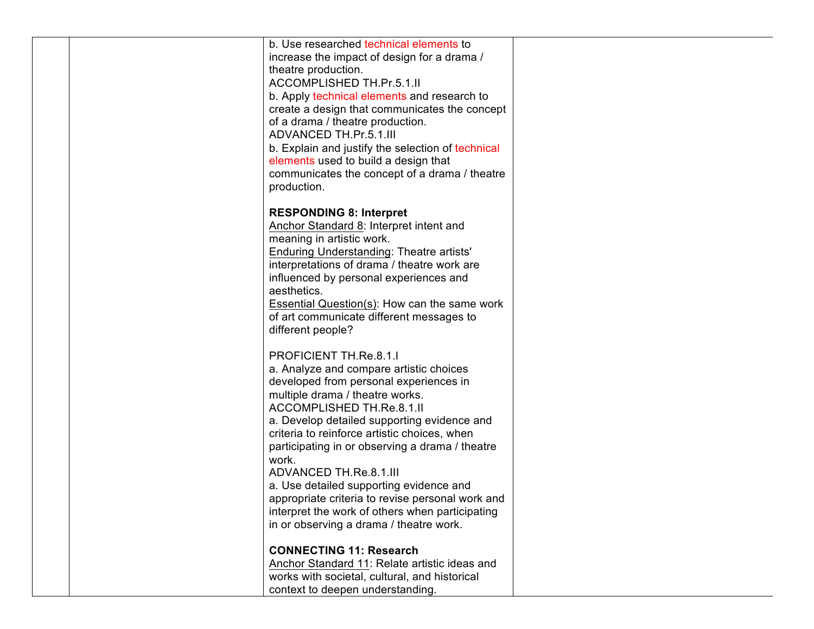| b. Use researched technical elements to<br>increase the impact of design for a drama /<br>theatre production.<br><b>ACCOMPLISHED TH.Pr.5.1.II</b><br>b. Apply technical elements and research to<br>create a design that communicates the concept<br>of a drama / theatre production.<br><b>ADVANCED TH.Pr.5.1.III</b><br>b. Explain and justify the selection of technical<br>elements used to build a design that<br>communicates the concept of a drama / theatre<br>production.                                                                                         |  |
|-----------------------------------------------------------------------------------------------------------------------------------------------------------------------------------------------------------------------------------------------------------------------------------------------------------------------------------------------------------------------------------------------------------------------------------------------------------------------------------------------------------------------------------------------------------------------------|--|
| <b>RESPONDING 8: Interpret</b><br>Anchor Standard 8: Interpret intent and<br>meaning in artistic work.<br><b>Enduring Understanding: Theatre artists'</b><br>interpretations of drama / theatre work are<br>influenced by personal experiences and<br>aesthetics.<br>Essential Question(s): How can the same work<br>of art communicate different messages to<br>different people?                                                                                                                                                                                          |  |
| PROFICIENT TH.Re.8.1.I<br>a. Analyze and compare artistic choices<br>developed from personal experiences in<br>multiple drama / theatre works.<br><b>ACCOMPLISHED TH.Re.8.1.II</b><br>a. Develop detailed supporting evidence and<br>criteria to reinforce artistic choices, when<br>participating in or observing a drama / theatre<br>work.<br><b>ADVANCED TH.Re.8.1.III</b><br>a. Use detailed supporting evidence and<br>appropriate criteria to revise personal work and<br>interpret the work of others when participating<br>in or observing a drama / theatre work. |  |
| <b>CONNECTING 11: Research</b><br>Anchor Standard 11: Relate artistic ideas and<br>works with societal, cultural, and historical<br>context to deepen understanding.                                                                                                                                                                                                                                                                                                                                                                                                        |  |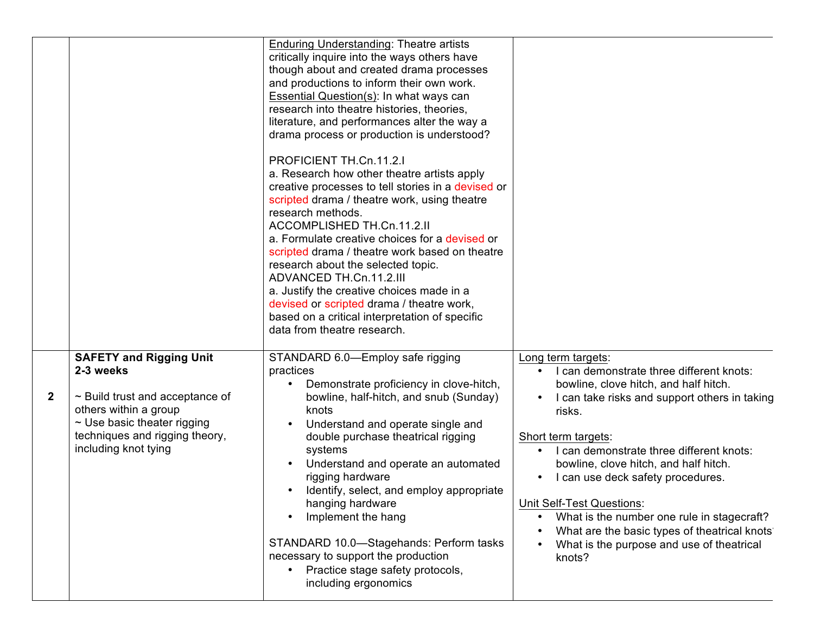|              |                                                                                                                                                                                                            | <b>Enduring Understanding: Theatre artists</b><br>critically inquire into the ways others have<br>though about and created drama processes<br>and productions to inform their own work.<br>Essential Question(s): In what ways can<br>research into theatre histories, theories,<br>literature, and performances alter the way a<br>drama process or production is understood?<br>PROFICIENT TH.Cn.11.2.I<br>a. Research how other theatre artists apply<br>creative processes to tell stories in a devised or<br>scripted drama / theatre work, using theatre<br>research methods.<br>ACCOMPLISHED TH.Cn.11.2.II<br>a. Formulate creative choices for a devised or<br>scripted drama / theatre work based on theatre<br>research about the selected topic.<br>ADVANCED TH.Cn.11.2.III<br>a. Justify the creative choices made in a<br>devised or scripted drama / theatre work,<br>based on a critical interpretation of specific<br>data from theatre research. |                                                                                                                                                                                                                                                                                                                                                                                                                                                                                                       |                            |
|--------------|------------------------------------------------------------------------------------------------------------------------------------------------------------------------------------------------------------|-------------------------------------------------------------------------------------------------------------------------------------------------------------------------------------------------------------------------------------------------------------------------------------------------------------------------------------------------------------------------------------------------------------------------------------------------------------------------------------------------------------------------------------------------------------------------------------------------------------------------------------------------------------------------------------------------------------------------------------------------------------------------------------------------------------------------------------------------------------------------------------------------------------------------------------------------------------------|-------------------------------------------------------------------------------------------------------------------------------------------------------------------------------------------------------------------------------------------------------------------------------------------------------------------------------------------------------------------------------------------------------------------------------------------------------------------------------------------------------|----------------------------|
| $\mathbf{2}$ | <b>SAFETY and Rigging Unit</b><br>2-3 weeks<br>$\sim$ Build trust and acceptance of<br>others within a group<br>$\sim$ Use basic theater rigging<br>techniques and rigging theory,<br>including knot tying | STANDARD 6.0-Employ safe rigging<br>practices<br>Demonstrate proficiency in clove-hitch,<br>bowline, half-hitch, and snub (Sunday)<br>knots<br>Understand and operate single and<br>double purchase theatrical rigging<br>systems<br>Understand and operate an automated<br>rigging hardware<br>Identify, select, and employ appropriate<br>hanging hardware<br>Implement the hang<br>STANDARD 10.0-Stagehands: Perform tasks<br>necessary to support the production<br>• Practice stage safety protocols,<br>including ergonomics                                                                                                                                                                                                                                                                                                                                                                                                                                | Long term targets:<br>I can demonstrate three different knots:<br>bowline, clove hitch, and half hitch.<br>I can take risks and support others in taking<br>risks.<br>Short term targets:<br>I can demonstrate three different knots:<br>bowline, clove hitch, and half hitch.<br>I can use deck safety procedures.<br>Unit Self-Test Questions:<br>What is the number one rule in stagecraft?<br>What are the basic types of theatrical knots<br>What is the purpose and use of theatrical<br>knots? | Forr<br>Sum<br><b>SPII</b> |

 $\mathbf 1$ 

 $\tilde{c}$ 

 $\ddot{\cdot}$ 

 $\overline{\phantom{a}}$ 

 $\tilde{z}$ 

 $\bullet$  $\bullet$  $\bullet$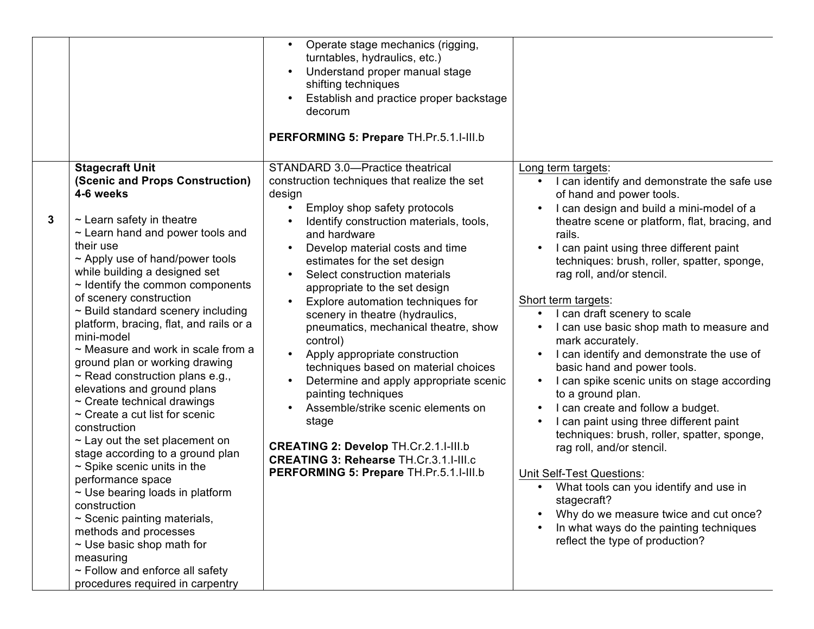|              |                                                                                                                                                                                                                                                                                                                                                                                                                                                                                                                                                                                                                                                                                                                                                                                                                                                                                                                                                                                                                                                     | Operate stage mechanics (rigging,<br>turntables, hydraulics, etc.)<br>Understand proper manual stage<br>shifting techniques<br>Establish and practice proper backstage<br>decorum<br>PERFORMING 5: Prepare TH.Pr.5.1.I-III.b                                                                                                                                                                                                                                                                                                                                                                                                                                                                                                                                                                 |                                                                                                                                                                                                                                                                                                                                                                                                                                                                                                                                                                                                                                                                                                                                                                                                                                                                                                                                                                                    |                            |
|--------------|-----------------------------------------------------------------------------------------------------------------------------------------------------------------------------------------------------------------------------------------------------------------------------------------------------------------------------------------------------------------------------------------------------------------------------------------------------------------------------------------------------------------------------------------------------------------------------------------------------------------------------------------------------------------------------------------------------------------------------------------------------------------------------------------------------------------------------------------------------------------------------------------------------------------------------------------------------------------------------------------------------------------------------------------------------|----------------------------------------------------------------------------------------------------------------------------------------------------------------------------------------------------------------------------------------------------------------------------------------------------------------------------------------------------------------------------------------------------------------------------------------------------------------------------------------------------------------------------------------------------------------------------------------------------------------------------------------------------------------------------------------------------------------------------------------------------------------------------------------------|------------------------------------------------------------------------------------------------------------------------------------------------------------------------------------------------------------------------------------------------------------------------------------------------------------------------------------------------------------------------------------------------------------------------------------------------------------------------------------------------------------------------------------------------------------------------------------------------------------------------------------------------------------------------------------------------------------------------------------------------------------------------------------------------------------------------------------------------------------------------------------------------------------------------------------------------------------------------------------|----------------------------|
| $\mathbf{3}$ | <b>Stagecraft Unit</b><br>(Scenic and Props Construction)<br>4-6 weeks<br>$\sim$ Learn safety in theatre<br>$\sim$ Learn hand and power tools and<br>their use<br>$\sim$ Apply use of hand/power tools<br>while building a designed set<br>$\sim$ Identify the common components<br>of scenery construction<br>$\sim$ Build standard scenery including<br>platform, bracing, flat, and rails or a<br>mini-model<br>$\sim$ Measure and work in scale from a<br>ground plan or working drawing<br>$\sim$ Read construction plans e.g.,<br>elevations and ground plans<br>$\sim$ Create technical drawings<br>$\sim$ Create a cut list for scenic<br>construction<br>$\sim$ Lay out the set placement on<br>stage according to a ground plan<br>$\sim$ Spike scenic units in the<br>performance space<br>$\sim$ Use bearing loads in platform<br>construction<br>$\sim$ Scenic painting materials,<br>methods and processes<br>$\sim$ Use basic shop math for<br>measuring<br>$\sim$ Follow and enforce all safety<br>procedures required in carpentry | STANDARD 3.0-Practice theatrical<br>construction techniques that realize the set<br>design<br>Employ shop safety protocols<br>Identify construction materials, tools,<br>and hardware<br>Develop material costs and time<br>estimates for the set design<br>Select construction materials<br>appropriate to the set design<br>Explore automation techniques for<br>scenery in theatre (hydraulics,<br>pneumatics, mechanical theatre, show<br>control)<br>Apply appropriate construction<br>techniques based on material choices<br>Determine and apply appropriate scenic<br>painting techniques<br>Assemble/strike scenic elements on<br>stage<br><b>CREATING 2: Develop TH.Cr.2.1.I-III.b</b><br><b>CREATING 3: Rehearse TH.Cr.3.1.I-III.c</b><br>PERFORMING 5: Prepare TH.Pr.5.1.I-III.b | Long term targets:<br>I can identify and demonstrate the safe use<br>of hand and power tools.<br>I can design and build a mini-model of a<br>theatre scene or platform, flat, bracing, and<br>rails.<br>I can paint using three different paint<br>techniques: brush, roller, spatter, sponge,<br>rag roll, and/or stencil.<br>Short term targets:<br>I can draft scenery to scale<br>I can use basic shop math to measure and<br>mark accurately.<br>I can identify and demonstrate the use of<br>basic hand and power tools.<br>I can spike scenic units on stage according<br>to a ground plan.<br>I can create and follow a budget.<br>I can paint using three different paint<br>techniques: brush, roller, spatter, sponge,<br>rag roll, and/or stencil.<br><b>Unit Self-Test Questions:</b><br>What tools can you identify and use in<br>stagecraft?<br>Why do we measure twice and cut once?<br>In what ways do the painting techniques<br>reflect the type of production? | Forn<br>Sum<br><b>SPIR</b> |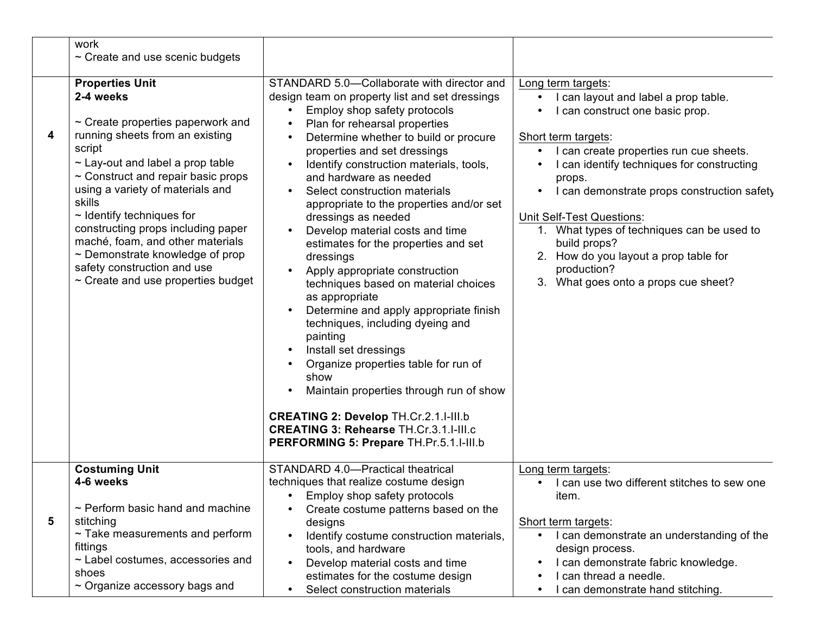|   | work<br>$\sim$ Create and use scenic budgets                                                                                                                                                                                                                                                                                                                                                                                                                                               |                                                                                                                                                                                                                                                                                                                                                                                                                                                                                                                                                                                                                                                                                                                                                                                                                                                                                                                                                               |                                                                                                                                                                                                                                                                                                                                                                                                                                                                       |                            |
|---|--------------------------------------------------------------------------------------------------------------------------------------------------------------------------------------------------------------------------------------------------------------------------------------------------------------------------------------------------------------------------------------------------------------------------------------------------------------------------------------------|---------------------------------------------------------------------------------------------------------------------------------------------------------------------------------------------------------------------------------------------------------------------------------------------------------------------------------------------------------------------------------------------------------------------------------------------------------------------------------------------------------------------------------------------------------------------------------------------------------------------------------------------------------------------------------------------------------------------------------------------------------------------------------------------------------------------------------------------------------------------------------------------------------------------------------------------------------------|-----------------------------------------------------------------------------------------------------------------------------------------------------------------------------------------------------------------------------------------------------------------------------------------------------------------------------------------------------------------------------------------------------------------------------------------------------------------------|----------------------------|
| 4 | <b>Properties Unit</b><br>2-4 weeks<br>$\sim$ Create properties paperwork and<br>running sheets from an existing<br>script<br>$\sim$ Lay-out and label a prop table<br>$\sim$ Construct and repair basic props<br>using a variety of materials and<br>skills<br>$\sim$ Identify techniques for<br>constructing props including paper<br>maché, foam, and other materials<br>$\sim$ Demonstrate knowledge of prop<br>safety construction and use<br>$\sim$ Create and use properties budget | STANDARD 5.0-Collaborate with director and<br>design team on property list and set dressings<br>Employ shop safety protocols<br>Plan for rehearsal properties<br>Determine whether to build or procure<br>properties and set dressings<br>Identify construction materials, tools,<br>and hardware as needed<br>Select construction materials<br>appropriate to the properties and/or set<br>dressings as needed<br>Develop material costs and time<br>estimates for the properties and set<br>dressings<br>Apply appropriate construction<br>techniques based on material choices<br>as appropriate<br>Determine and apply appropriate finish<br>techniques, including dyeing and<br>painting<br>Install set dressings<br>Organize properties table for run of<br>show<br>Maintain properties through run of show<br><b>CREATING 2: Develop TH.Cr.2.1.I-III.b</b><br><b>CREATING 3: Rehearse TH.Cr.3.1.I-III.c</b><br>PERFORMING 5: Prepare TH.Pr.5.1.I-III.b | Long term targets:<br>I can layout and label a prop table.<br>I can construct one basic prop.<br>Short term targets:<br>I can create properties run cue sheets.<br>I can identify techniques for constructing<br>props.<br>I can demonstrate props construction safety<br><b>Unit Self-Test Questions:</b><br>1. What types of techniques can be used to<br>build props?<br>2. How do you layout a prop table for<br>production?<br>What goes onto a props cue sheet? | Forn<br>Sum<br><b>SPIF</b> |
|   | <b>Costuming Unit</b><br>4-6 weeks<br>$\sim$ Perform basic hand and machine                                                                                                                                                                                                                                                                                                                                                                                                                | STANDARD 4.0-Practical theatrical<br>techniques that realize costume design<br>• Employ shop safety protocols<br>Create costume patterns based on the                                                                                                                                                                                                                                                                                                                                                                                                                                                                                                                                                                                                                                                                                                                                                                                                         | Long term targets:<br>I can use two different stitches to sew one<br>item.                                                                                                                                                                                                                                                                                                                                                                                            | Forn                       |
| 5 | stitching<br>$\sim$ Take measurements and perform<br>fittings<br>$\sim$ Label costumes, accessories and<br>shoes<br>$\sim$ Organize accessory bags and                                                                                                                                                                                                                                                                                                                                     | designs<br>Identify costume construction materials,<br>tools, and hardware<br>Develop material costs and time<br>estimates for the costume design<br>Select construction materials                                                                                                                                                                                                                                                                                                                                                                                                                                                                                                                                                                                                                                                                                                                                                                            | Short term targets:<br>I can demonstrate an understanding of the<br>design process.<br>I can demonstrate fabric knowledge.<br>I can thread a needle.<br>I can demonstrate hand stitching.                                                                                                                                                                                                                                                                             | Sum                        |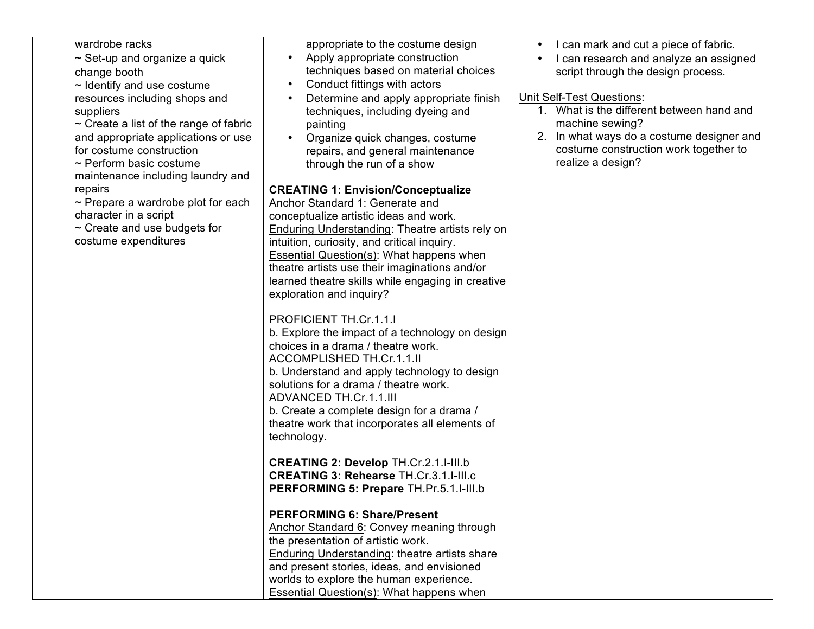| wardrobe racks<br>$\sim$ Set-up and organize a quick<br>change booth<br>$\sim$ Identify and use costume<br>resources including shops and<br>suppliers<br>$\sim$ Create a list of the range of fabric<br>and appropriate applications or use<br>for costume construction<br>$\sim$ Perform basic costume<br>maintenance including laundry and<br>repairs<br>$\sim$ Prepare a wardrobe plot for each<br>character in a script<br>$\sim$ Create and use budgets for | appropriate to the costume design<br>Apply appropriate construction<br>techniques based on material choices<br>Conduct fittings with actors<br>Determine and apply appropriate finish<br>techniques, including dyeing and<br>painting<br>Organize quick changes, costume<br>repairs, and general maintenance<br>through the run of a show<br><b>CREATING 1: Envision/Conceptualize</b><br>Anchor Standard 1: Generate and<br>conceptualize artistic ideas and work.<br>Enduring Understanding: Theatre artists rely on | can mark and cut a piece of fabric.<br>can research and analyze an assigned<br>script through the design process.<br>Unit Self-Test Questions:<br>1. What is the different between hand and<br>machine sewing?<br>2. In what ways do a costume designer and<br>costume construction work together to<br>realize a design? | <b>SPIF</b> |
|------------------------------------------------------------------------------------------------------------------------------------------------------------------------------------------------------------------------------------------------------------------------------------------------------------------------------------------------------------------------------------------------------------------------------------------------------------------|------------------------------------------------------------------------------------------------------------------------------------------------------------------------------------------------------------------------------------------------------------------------------------------------------------------------------------------------------------------------------------------------------------------------------------------------------------------------------------------------------------------------|---------------------------------------------------------------------------------------------------------------------------------------------------------------------------------------------------------------------------------------------------------------------------------------------------------------------------|-------------|
| costume expenditures                                                                                                                                                                                                                                                                                                                                                                                                                                             | intuition, curiosity, and critical inquiry.<br>Essential Question(s): What happens when<br>theatre artists use their imaginations and/or<br>learned theatre skills while engaging in creative<br>exploration and inquiry?                                                                                                                                                                                                                                                                                              |                                                                                                                                                                                                                                                                                                                           |             |
|                                                                                                                                                                                                                                                                                                                                                                                                                                                                  | PROFICIENT TH.Cr.1.1.1<br>b. Explore the impact of a technology on design<br>choices in a drama / theatre work.<br>ACCOMPLISHED TH.Cr.1.1.II<br>b. Understand and apply technology to design<br>solutions for a drama / theatre work.<br>ADVANCED TH.Cr.1.1.III<br>b. Create a complete design for a drama /<br>theatre work that incorporates all elements of<br>technology.                                                                                                                                          |                                                                                                                                                                                                                                                                                                                           |             |
|                                                                                                                                                                                                                                                                                                                                                                                                                                                                  | <b>CREATING 2: Develop TH.Cr.2.1.I-III.b</b><br><b>CREATING 3: Rehearse TH.Cr.3.1.I-III.c</b><br>PERFORMING 5: Prepare TH.Pr.5.1.I-III.b                                                                                                                                                                                                                                                                                                                                                                               |                                                                                                                                                                                                                                                                                                                           |             |
|                                                                                                                                                                                                                                                                                                                                                                                                                                                                  | <b>PERFORMING 6: Share/Present</b><br>Anchor Standard 6: Convey meaning through<br>the presentation of artistic work.<br>Enduring Understanding: theatre artists share<br>and present stories, ideas, and envisioned<br>worlds to explore the human experience.<br>Essential Question(s): What happens when                                                                                                                                                                                                            |                                                                                                                                                                                                                                                                                                                           |             |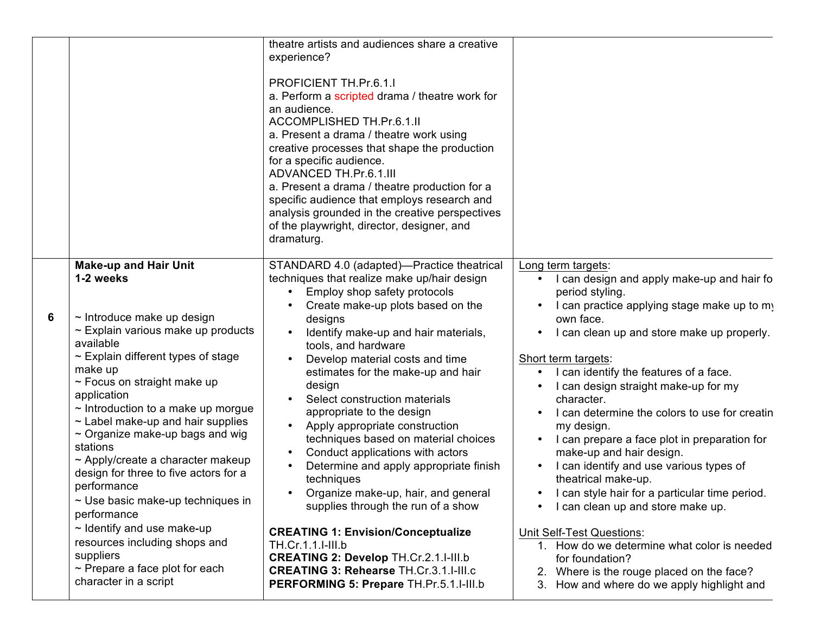|   |                                                                                                                                                                                                                                                                                                                                                                                                                                                                                                                                                                                                                                                                                               | theatre artists and audiences share a creative<br>experience?<br>PROFICIENT TH.Pr.6.1.I<br>a. Perform a scripted drama / theatre work for<br>an audience.<br>ACCOMPLISHED TH.Pr.6.1.II<br>a. Present a drama / theatre work using<br>creative processes that shape the production<br>for a specific audience.<br><b>ADVANCED TH.Pr.6.1.III</b><br>a. Present a drama / theatre production for a<br>specific audience that employs research and<br>analysis grounded in the creative perspectives<br>of the playwright, director, designer, and<br>dramaturg.                                                                                                                                                                                                                                                                                               |                                                                                                                                                                                                                                                                                                                                                                                                                                                                                                                                                                                                                                                                                                                                                                                                                           |                            |
|---|-----------------------------------------------------------------------------------------------------------------------------------------------------------------------------------------------------------------------------------------------------------------------------------------------------------------------------------------------------------------------------------------------------------------------------------------------------------------------------------------------------------------------------------------------------------------------------------------------------------------------------------------------------------------------------------------------|------------------------------------------------------------------------------------------------------------------------------------------------------------------------------------------------------------------------------------------------------------------------------------------------------------------------------------------------------------------------------------------------------------------------------------------------------------------------------------------------------------------------------------------------------------------------------------------------------------------------------------------------------------------------------------------------------------------------------------------------------------------------------------------------------------------------------------------------------------|---------------------------------------------------------------------------------------------------------------------------------------------------------------------------------------------------------------------------------------------------------------------------------------------------------------------------------------------------------------------------------------------------------------------------------------------------------------------------------------------------------------------------------------------------------------------------------------------------------------------------------------------------------------------------------------------------------------------------------------------------------------------------------------------------------------------------|----------------------------|
| 6 | <b>Make-up and Hair Unit</b><br>1-2 weeks<br>$\sim$ Introduce make up design<br>$\sim$ Explain various make up products<br>available<br>$\sim$ Explain different types of stage<br>make up<br>~ Focus on straight make up<br>application<br>$\sim$ Introduction to a make up morgue<br>$\sim$ Label make-up and hair supplies<br>$\sim$ Organize make-up bags and wig<br>stations<br>$\sim$ Apply/create a character makeup<br>design for three to five actors for a<br>performance<br>$\sim$ Use basic make-up techniques in<br>performance<br>$\sim$ Identify and use make-up<br>resources including shops and<br>suppliers<br>$\sim$ Prepare a face plot for each<br>character in a script | STANDARD 4.0 (adapted)-Practice theatrical<br>techniques that realize make up/hair design<br>Employ shop safety protocols<br>Create make-up plots based on the<br>designs<br>Identify make-up and hair materials,<br>tools, and hardware<br>Develop material costs and time<br>estimates for the make-up and hair<br>design<br>Select construction materials<br>appropriate to the design<br>Apply appropriate construction<br>techniques based on material choices<br>Conduct applications with actors<br>Determine and apply appropriate finish<br>techniques<br>Organize make-up, hair, and general<br>supplies through the run of a show<br><b>CREATING 1: Envision/Conceptualize</b><br>TH.Cr.1.1.I-III.b<br><b>CREATING 2: Develop TH.Cr.2.1.I-III.b</b><br><b>CREATING 3: Rehearse TH.Cr.3.1.I-III.c</b><br>PERFORMING 5: Prepare TH.Pr.5.1.I-III.b | Long term targets:<br>I can design and apply make-up and hair fo<br>period styling.<br>I can practice applying stage make up to my<br>own face.<br>I can clean up and store make up properly.<br>Short term targets:<br>I can identify the features of a face.<br>I can design straight make-up for my<br>character.<br>I can determine the colors to use for creatin<br>my design.<br>I can prepare a face plot in preparation for<br>make-up and hair design.<br>I can identify and use various types of<br>theatrical make-up.<br>I can style hair for a particular time period.<br>I can clean up and store make up.<br><b>Unit Self-Test Questions:</b><br>1. How do we determine what color is needed<br>for foundation?<br>2. Where is the rouge placed on the face?<br>3. How and where do we apply highlight and | Forn<br>Sum<br><b>SPIR</b> |

 $\mathbf 1$ 

 $\ddot{\cdot}$ 

 $\mathbf 1$ 

 $\tilde{ }$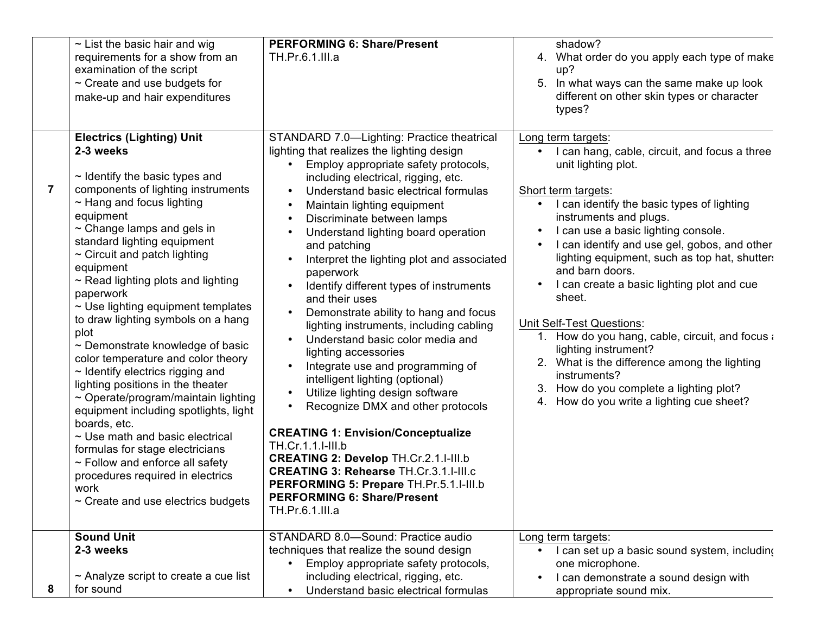|   | $\sim$ List the basic hair and wig<br>requirements for a show from an<br>examination of the script<br>$\sim$ Create and use budgets for<br>make-up and hair expenditures                                                                                                                                                                                                                                                                                                                                                                                                                                                                                                                                                                                                                                                                                                                                              | <b>PERFORMING 6: Share/Present</b><br>TH.Pr.6.1.III.a                                                                                                                                                                                                                                                                                                                                                                                                                                                                                                                                                                                                                                                                                                                                                                                                                                                                                                                                                                              | shadow?<br>4. What order do you apply each type of make<br>up?<br>5.<br>In what ways can the same make up look<br>different on other skin types or character<br>types?                                                                                                                                                                                                                                                                                                                                                                                                                                                                                                                                 |
|---|-----------------------------------------------------------------------------------------------------------------------------------------------------------------------------------------------------------------------------------------------------------------------------------------------------------------------------------------------------------------------------------------------------------------------------------------------------------------------------------------------------------------------------------------------------------------------------------------------------------------------------------------------------------------------------------------------------------------------------------------------------------------------------------------------------------------------------------------------------------------------------------------------------------------------|------------------------------------------------------------------------------------------------------------------------------------------------------------------------------------------------------------------------------------------------------------------------------------------------------------------------------------------------------------------------------------------------------------------------------------------------------------------------------------------------------------------------------------------------------------------------------------------------------------------------------------------------------------------------------------------------------------------------------------------------------------------------------------------------------------------------------------------------------------------------------------------------------------------------------------------------------------------------------------------------------------------------------------|--------------------------------------------------------------------------------------------------------------------------------------------------------------------------------------------------------------------------------------------------------------------------------------------------------------------------------------------------------------------------------------------------------------------------------------------------------------------------------------------------------------------------------------------------------------------------------------------------------------------------------------------------------------------------------------------------------|
|   | <b>Electrics (Lighting) Unit</b><br>2-3 weeks<br>$\sim$ Identify the basic types and<br>components of lighting instruments<br>$\sim$ Hang and focus lighting<br>equipment<br>$\sim$ Change lamps and gels in<br>standard lighting equipment<br>$\sim$ Circuit and patch lighting<br>equipment<br>$\sim$ Read lighting plots and lighting<br>paperwork<br>$\sim$ Use lighting equipment templates<br>to draw lighting symbols on a hang<br>plot<br>~ Demonstrate knowledge of basic<br>color temperature and color theory<br>$\sim$ Identify electrics rigging and<br>lighting positions in the theater<br>$\sim$ Operate/program/maintain lighting<br>equipment including spotlights, light<br>boards, etc.<br>$\sim$ Use math and basic electrical<br>formulas for stage electricians<br>$\sim$ Follow and enforce all safety<br>procedures required in electrics<br>work<br>$\sim$ Create and use electrics budgets | STANDARD 7.0-Lighting: Practice theatrical<br>lighting that realizes the lighting design<br>Employ appropriate safety protocols,<br>including electrical, rigging, etc.<br>Understand basic electrical formulas<br>Maintain lighting equipment<br>Discriminate between lamps<br>Understand lighting board operation<br>and patching<br>Interpret the lighting plot and associated<br>paperwork<br>Identify different types of instruments<br>and their uses<br>Demonstrate ability to hang and focus<br>lighting instruments, including cabling<br>Understand basic color media and<br>lighting accessories<br>Integrate use and programming of<br>intelligent lighting (optional)<br>Utilize lighting design software<br>Recognize DMX and other protocols<br><b>CREATING 1: Envision/Conceptualize</b><br>TH.Cr.1.1.I-III.b<br><b>CREATING 2: Develop TH.Cr.2.1.I-III.b</b><br><b>CREATING 3: Rehearse TH.Cr.3.1.I-III.c</b><br>PERFORMING 5: Prepare TH.Pr.5.1.I-III.b<br><b>PERFORMING 6: Share/Present</b><br>TH.Pr.6.1.III.a | Long term targets:<br>I can hang, cable, circuit, and focus a three<br>unit lighting plot.<br>Short term targets:<br>I can identify the basic types of lighting<br>instruments and plugs.<br>I can use a basic lighting console.<br>$\bullet$<br>I can identify and use gel, gobos, and other<br>lighting equipment, such as top hat, shutters<br>and barn doors.<br>I can create a basic lighting plot and cue<br>sheet.<br><b>Unit Self-Test Questions:</b><br>1. How do you hang, cable, circuit, and focus a<br>lighting instrument?<br>2. What is the difference among the lighting<br>instruments?<br>How do you complete a lighting plot?<br>3.<br>How do you write a lighting cue sheet?<br>4. |
| 8 | <b>Sound Unit</b><br>2-3 weeks<br>$\sim$ Analyze script to create a cue list<br>for sound                                                                                                                                                                                                                                                                                                                                                                                                                                                                                                                                                                                                                                                                                                                                                                                                                             | STANDARD 8.0-Sound: Practice audio<br>techniques that realize the sound design<br>Employ appropriate safety protocols,<br>including electrical, rigging, etc.<br>Understand basic electrical formulas                                                                                                                                                                                                                                                                                                                                                                                                                                                                                                                                                                                                                                                                                                                                                                                                                              | Long term targets:<br>I can set up a basic sound system, including<br>one microphone.<br>I can demonstrate a sound design with<br>$\bullet$<br>appropriate sound mix.                                                                                                                                                                                                                                                                                                                                                                                                                                                                                                                                  |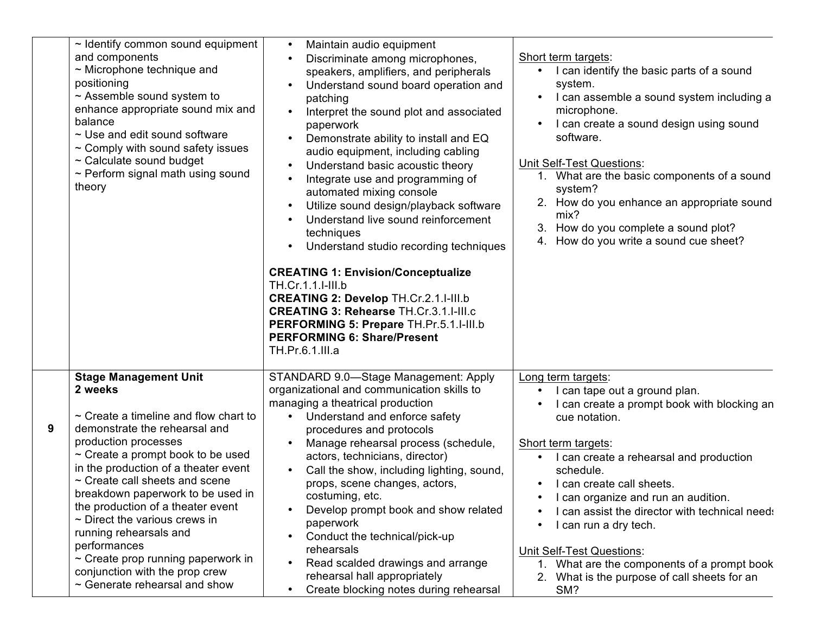| $\sim$ Identify common sound equipment<br>and components<br>$\sim$ Microphone technique and<br>positioning<br>$\sim$ Assemble sound system to<br>enhance appropriate sound mix and<br>balance<br>$\sim$ Use and edit sound software<br>$\sim$ Comply with sound safety issues<br>~ Calculate sound budget<br>$\sim$ Perform signal math using sound<br>theory                                                                                                                                                                                        | Maintain audio equipment<br>$\bullet$<br>Discriminate among microphones,<br>speakers, amplifiers, and peripherals<br>Understand sound board operation and<br>patching<br>Interpret the sound plot and associated<br>$\bullet$<br>paperwork<br>Demonstrate ability to install and EQ<br>audio equipment, including cabling<br>Understand basic acoustic theory<br>Integrate use and programming of<br>automated mixing console<br>Utilize sound design/playback software<br>$\bullet$<br>Understand live sound reinforcement<br>techniques<br>Understand studio recording techniques<br><b>CREATING 1: Envision/Conceptualize</b><br>TH.Cr.1.1.I-III.b<br><b>CREATING 2: Develop TH.Cr.2.1.I-III.b</b><br><b>CREATING 3: Rehearse TH.Cr.3.1.I-III.c</b><br>PERFORMING 5: Prepare TH.Pr.5.1.I-III.b<br><b>PERFORMING 6: Share/Present</b><br>TH.Pr.6.1.III.a | Short term targets:<br>I can identify the basic parts of a sound<br>system.<br>I can assemble a sound system including a<br>microphone.<br>I can create a sound design using sound<br>software.<br><b>Unit Self-Test Questions:</b><br>1. What are the basic components of a sound<br>system?<br>2. How do you enhance an appropriate sound<br>mix?<br>How do you complete a sound plot?<br>4. How do you write a sound cue sheet?                                                                       | Sum<br><b>SPIR</b>         |
|------------------------------------------------------------------------------------------------------------------------------------------------------------------------------------------------------------------------------------------------------------------------------------------------------------------------------------------------------------------------------------------------------------------------------------------------------------------------------------------------------------------------------------------------------|------------------------------------------------------------------------------------------------------------------------------------------------------------------------------------------------------------------------------------------------------------------------------------------------------------------------------------------------------------------------------------------------------------------------------------------------------------------------------------------------------------------------------------------------------------------------------------------------------------------------------------------------------------------------------------------------------------------------------------------------------------------------------------------------------------------------------------------------------------|----------------------------------------------------------------------------------------------------------------------------------------------------------------------------------------------------------------------------------------------------------------------------------------------------------------------------------------------------------------------------------------------------------------------------------------------------------------------------------------------------------|----------------------------|
| <b>Stage Management Unit</b><br>2 weeks<br>$\sim$ Create a timeline and flow chart to<br>9<br>demonstrate the rehearsal and<br>production processes<br>$\sim$ Create a prompt book to be used<br>in the production of a theater event<br>~ Create call sheets and scene<br>breakdown paperwork to be used in<br>the production of a theater event<br>$\sim$ Direct the various crews in<br>running rehearsals and<br>performances<br>$\sim$ Create prop running paperwork in<br>conjunction with the prop crew<br>$\sim$ Generate rehearsal and show | STANDARD 9.0-Stage Management: Apply<br>organizational and communication skills to<br>managing a theatrical production<br>Understand and enforce safety<br>$\bullet$<br>procedures and protocols<br>Manage rehearsal process (schedule,<br>actors, technicians, director)<br>Call the show, including lighting, sound,<br>$\bullet$<br>props, scene changes, actors,<br>costuming, etc.<br>Develop prompt book and show related<br>$\bullet$<br>paperwork<br>Conduct the technical/pick-up<br>$\bullet$<br>rehearsals<br>Read scalded drawings and arrange<br>$\bullet$<br>rehearsal hall appropriately<br>Create blocking notes during rehearsal<br>$\bullet$                                                                                                                                                                                             | Long term targets:<br>I can tape out a ground plan.<br>I can create a prompt book with blocking an<br>cue notation.<br>Short term targets:<br>I can create a rehearsal and production<br>schedule.<br>I can create call sheets.<br>I can organize and run an audition.<br>I can assist the director with technical needs<br>I can run a dry tech.<br>$\bullet$<br><b>Unit Self-Test Questions:</b><br>What are the components of a prompt book<br>2.<br>What is the purpose of call sheets for an<br>SM? | Forn<br>Sum<br><b>SPIF</b> |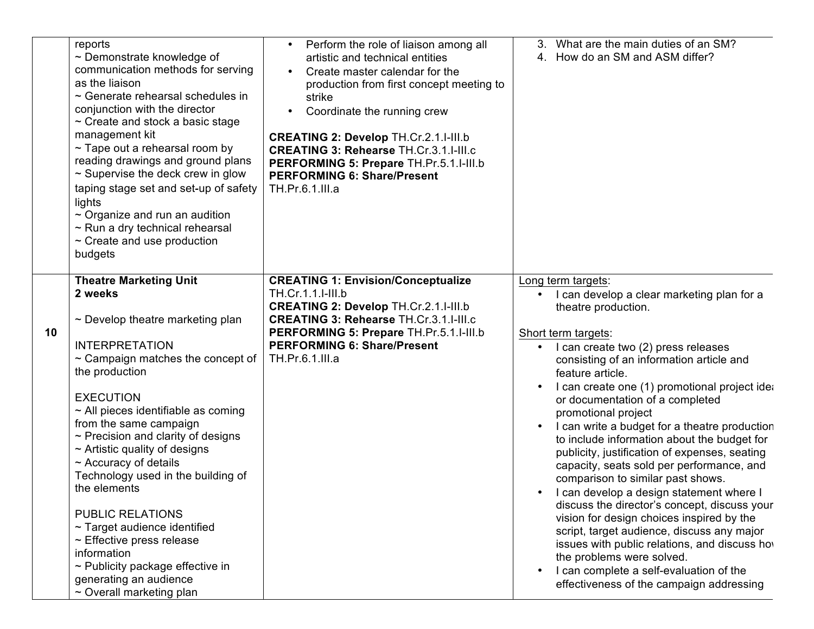|    | reports<br>$\sim$ Demonstrate knowledge of<br>communication methods for serving<br>as the liaison<br>$\sim$ Generate rehearsal schedules in<br>conjunction with the director<br>$\sim$ Create and stock a basic stage<br>management kit<br>$\sim$ Tape out a rehearsal room by<br>reading drawings and ground plans<br>$\sim$ Supervise the deck crew in glow<br>taping stage set and set-up of safety<br>lights<br>$\sim$ Organize and run an audition<br>$\sim$ Run a dry technical rehearsal<br>$\sim$ Create and use production<br>budgets                                                                                                        | Perform the role of liaison among all<br>artistic and technical entities<br>Create master calendar for the<br>$\bullet$<br>production from first concept meeting to<br>strike<br>Coordinate the running crew<br>$\bullet$<br><b>CREATING 2: Develop TH.Cr.2.1.I-III.b</b><br><b>CREATING 3: Rehearse TH.Cr.3.1.I-III.c</b><br>PERFORMING 5: Prepare TH.Pr.5.1.I-III.b<br><b>PERFORMING 6: Share/Present</b><br>TH.Pr.6.1.III.a | What are the main duties of an SM?<br>3.<br>4. How do an SM and ASM differ?                                                                                                                                                                                                                                                                                                                                                                                                                                                                                                                                                                                                                                                                                                                                                                                                                                                                  |                            |
|----|-------------------------------------------------------------------------------------------------------------------------------------------------------------------------------------------------------------------------------------------------------------------------------------------------------------------------------------------------------------------------------------------------------------------------------------------------------------------------------------------------------------------------------------------------------------------------------------------------------------------------------------------------------|--------------------------------------------------------------------------------------------------------------------------------------------------------------------------------------------------------------------------------------------------------------------------------------------------------------------------------------------------------------------------------------------------------------------------------|----------------------------------------------------------------------------------------------------------------------------------------------------------------------------------------------------------------------------------------------------------------------------------------------------------------------------------------------------------------------------------------------------------------------------------------------------------------------------------------------------------------------------------------------------------------------------------------------------------------------------------------------------------------------------------------------------------------------------------------------------------------------------------------------------------------------------------------------------------------------------------------------------------------------------------------------|----------------------------|
| 10 | <b>Theatre Marketing Unit</b><br>2 weeks<br>$\sim$ Develop theatre marketing plan<br><b>INTERPRETATION</b><br>$\sim$ Campaign matches the concept of<br>the production<br><b>EXECUTION</b><br>$\sim$ All pieces identifiable as coming<br>from the same campaign<br>$\sim$ Precision and clarity of designs<br>$\sim$ Artistic quality of designs<br>$\sim$ Accuracy of details<br>Technology used in the building of<br>the elements<br><b>PUBLIC RELATIONS</b><br>$\sim$ Target audience identified<br>$\sim$ Effective press release<br>information<br>~ Publicity package effective in<br>generating an audience<br>$\sim$ Overall marketing plan | <b>CREATING 1: Envision/Conceptualize</b><br>TH.Cr.1.1.I-III.b<br><b>CREATING 2: Develop TH.Cr.2.1.I-III.b</b><br><b>CREATING 3: Rehearse TH.Cr.3.1.I-III.c</b><br>PERFORMING 5: Prepare TH.Pr.5.1.I-III.b<br><b>PERFORMING 6: Share/Present</b><br>TH.Pr.6.1.III.a                                                                                                                                                            | Long term targets:<br>I can develop a clear marketing plan for a<br>theatre production.<br>Short term targets:<br>I can create two (2) press releases<br>consisting of an information article and<br>feature article.<br>I can create one (1) promotional project idea<br>or documentation of a completed<br>promotional project<br>I can write a budget for a theatre production<br>to include information about the budget for<br>publicity, justification of expenses, seating<br>capacity, seats sold per performance, and<br>comparison to similar past shows.<br>I can develop a design statement where I<br>discuss the director's concept, discuss your<br>vision for design choices inspired by the<br>script, target audience, discuss any major<br>issues with public relations, and discuss how<br>the problems were solved.<br>I can complete a self-evaluation of the<br>$\bullet$<br>effectiveness of the campaign addressing | Forn<br>Sum<br><b>SPIF</b> |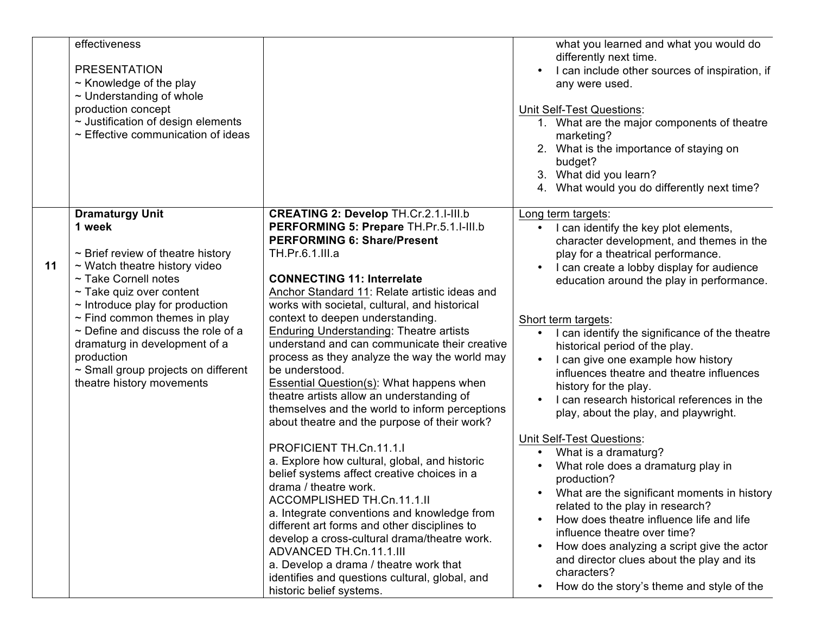|    | effectiveness<br><b>PRESENTATION</b><br>$\sim$ Knowledge of the play<br>$\sim$ Understanding of whole<br>production concept<br>$\sim$ Justification of design elements<br>$\sim$ Effective communication of ideas                                                                                                                                                                                                         |                                                                                                                                                                                                                                                                                                                                                                                                                                                                                                                                                                                                                                                                                                                                                                                                                                                                                                                                                                                                                                                                                                                                                      | what you learned and what you would do<br>differently next time.<br>I can include other sources of inspiration, if<br>any were used.<br><b>Unit Self-Test Questions:</b><br>1. What are the major components of theatre<br>marketing?<br>2. What is the importance of staying on<br>budget?<br>3. What did you learn?<br>4. What would you do differently next time?                                                                                                                                                                                                                                                                                                                                                                                                                                                                                                                                                                                                                                  |
|----|---------------------------------------------------------------------------------------------------------------------------------------------------------------------------------------------------------------------------------------------------------------------------------------------------------------------------------------------------------------------------------------------------------------------------|------------------------------------------------------------------------------------------------------------------------------------------------------------------------------------------------------------------------------------------------------------------------------------------------------------------------------------------------------------------------------------------------------------------------------------------------------------------------------------------------------------------------------------------------------------------------------------------------------------------------------------------------------------------------------------------------------------------------------------------------------------------------------------------------------------------------------------------------------------------------------------------------------------------------------------------------------------------------------------------------------------------------------------------------------------------------------------------------------------------------------------------------------|-------------------------------------------------------------------------------------------------------------------------------------------------------------------------------------------------------------------------------------------------------------------------------------------------------------------------------------------------------------------------------------------------------------------------------------------------------------------------------------------------------------------------------------------------------------------------------------------------------------------------------------------------------------------------------------------------------------------------------------------------------------------------------------------------------------------------------------------------------------------------------------------------------------------------------------------------------------------------------------------------------|
| 11 | <b>Dramaturgy Unit</b><br>1 week<br>$\sim$ Brief review of theatre history<br>$\sim$ Watch theatre history video<br>~ Take Cornell notes<br>$\sim$ Take quiz over content<br>$\sim$ Introduce play for production<br>$\sim$ Find common themes in play<br>$\sim$ Define and discuss the role of a<br>dramaturg in development of a<br>production<br>$\sim$ Small group projects on different<br>theatre history movements | <b>CREATING 2: Develop TH.Cr.2.1.I-III.b</b><br>PERFORMING 5: Prepare TH.Pr.5.1.I-III.b<br><b>PERFORMING 6: Share/Present</b><br>TH.Pr.6.1.III.a<br><b>CONNECTING 11: Interrelate</b><br>Anchor Standard 11: Relate artistic ideas and<br>works with societal, cultural, and historical<br>context to deepen understanding.<br>Enduring Understanding: Theatre artists<br>understand and can communicate their creative<br>process as they analyze the way the world may<br>be understood.<br><b>Essential Question(s): What happens when</b><br>theatre artists allow an understanding of<br>themselves and the world to inform perceptions<br>about theatre and the purpose of their work?<br>PROFICIENT TH.Cn.11.1.1<br>a. Explore how cultural, global, and historic<br>belief systems affect creative choices in a<br>drama / theatre work.<br>ACCOMPLISHED TH.Cn.11.1.II<br>a. Integrate conventions and knowledge from<br>different art forms and other disciplines to<br>develop a cross-cultural drama/theatre work.<br>ADVANCED TH.Cn.11.1.III<br>a. Develop a drama / theatre work that<br>identifies and questions cultural, global, and | Long term targets:<br>I can identify the key plot elements,<br>character development, and themes in the<br>play for a theatrical performance.<br>I can create a lobby display for audience<br>education around the play in performance.<br>Short term targets:<br>I can identify the significance of the theatre<br>historical period of the play.<br>I can give one example how history<br>influences theatre and theatre influences<br>history for the play.<br>I can research historical references in the<br>play, about the play, and playwright.<br>Unit Self-Test Questions:<br>What is a dramaturg?<br>What role does a dramaturg play in<br>production?<br>• What are the significant moments in history<br>related to the play in research?<br>How does theatre influence life and life<br>influence theatre over time?<br>How does analyzing a script give the actor<br>$\bullet$<br>and director clues about the play and its<br>characters?<br>How do the story's theme and style of the |

 $\mathbf 1$ 

 $\tilde{c}$ 

 $\mathbf 1$ 

 $\tilde{c}$ 

 $\bullet$ 

 $\bullet$ 

 $\bullet$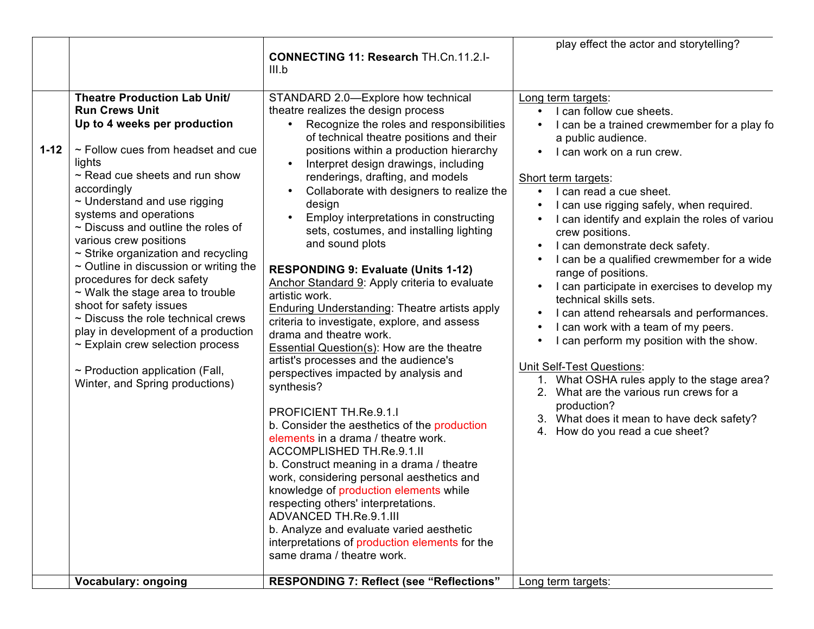|          |                                                                                                                                                                                                                                                                                                                                                                                                                                                                                                                                                                                                                                                                                                                                           | <b>CONNECTING 11: Research TH.Cn.11.2.I-</b><br>III.b                                                                                                                                                                                                                                                                                                                                                                                                                                                                                                                                                                                                                                                                                                                                                                                                                                                                                                                                                                                                                                                                                                                                                                                                                                                                                           | play effect the actor and storytelling?                                                                                                                                                                                                                                                                                                                                                                                                                                                                                                                                                                                                                                                                                                                                                                                                                        |                            |
|----------|-------------------------------------------------------------------------------------------------------------------------------------------------------------------------------------------------------------------------------------------------------------------------------------------------------------------------------------------------------------------------------------------------------------------------------------------------------------------------------------------------------------------------------------------------------------------------------------------------------------------------------------------------------------------------------------------------------------------------------------------|-------------------------------------------------------------------------------------------------------------------------------------------------------------------------------------------------------------------------------------------------------------------------------------------------------------------------------------------------------------------------------------------------------------------------------------------------------------------------------------------------------------------------------------------------------------------------------------------------------------------------------------------------------------------------------------------------------------------------------------------------------------------------------------------------------------------------------------------------------------------------------------------------------------------------------------------------------------------------------------------------------------------------------------------------------------------------------------------------------------------------------------------------------------------------------------------------------------------------------------------------------------------------------------------------------------------------------------------------|----------------------------------------------------------------------------------------------------------------------------------------------------------------------------------------------------------------------------------------------------------------------------------------------------------------------------------------------------------------------------------------------------------------------------------------------------------------------------------------------------------------------------------------------------------------------------------------------------------------------------------------------------------------------------------------------------------------------------------------------------------------------------------------------------------------------------------------------------------------|----------------------------|
| $1 - 12$ | <b>Theatre Production Lab Unit/</b><br><b>Run Crews Unit</b><br>Up to 4 weeks per production<br>~ Follow cues from headset and cue<br>lights<br>$\sim$ Read cue sheets and run show<br>accordingly<br>$\sim$ Understand and use rigging<br>systems and operations<br>$\sim$ Discuss and outline the roles of<br>various crew positions<br>$\sim$ Strike organization and recycling<br>$\sim$ Outline in discussion or writing the<br>procedures for deck safety<br>$\sim$ Walk the stage area to trouble<br>shoot for safety issues<br>$\sim$ Discuss the role technical crews<br>play in development of a production<br>$\sim$ Explain crew selection process<br>$\sim$ Production application (Fall,<br>Winter, and Spring productions) | STANDARD 2.0-Explore how technical<br>theatre realizes the design process<br>Recognize the roles and responsibilities<br>of technical theatre positions and their<br>positions within a production hierarchy<br>Interpret design drawings, including<br>renderings, drafting, and models<br>Collaborate with designers to realize the<br>design<br>Employ interpretations in constructing<br>sets, costumes, and installing lighting<br>and sound plots<br><b>RESPONDING 9: Evaluate (Units 1-12)</b><br>Anchor Standard 9: Apply criteria to evaluate<br>artistic work.<br><b>Enduring Understanding: Theatre artists apply</b><br>criteria to investigate, explore, and assess<br>drama and theatre work.<br>Essential Question(s): How are the theatre<br>artist's processes and the audience's<br>perspectives impacted by analysis and<br>synthesis?<br><b>PROFICIENT TH.Re.9.1.I</b><br>b. Consider the aesthetics of the production<br>elements in a drama / theatre work.<br>ACCOMPLISHED TH.Re.9.1.II<br>b. Construct meaning in a drama / theatre<br>work, considering personal aesthetics and<br>knowledge of production elements while<br>respecting others' interpretations.<br>ADVANCED TH.Re.9.1.III<br>b. Analyze and evaluate varied aesthetic<br>interpretations of production elements for the<br>same drama / theatre work. | Long term targets:<br>I can follow cue sheets.<br>I can be a trained crewmember for a play fo<br>a public audience.<br>I can work on a run crew.<br>Short term targets:<br>I can read a cue sheet.<br>I can use rigging safely, when required.<br>I can identify and explain the roles of variou<br>crew positions.<br>I can demonstrate deck safety.<br>I can be a qualified crewmember for a wide<br>range of positions.<br>I can participate in exercises to develop my<br>technical skills sets.<br>I can attend rehearsals and performances.<br>I can work with a team of my peers.<br>I can perform my position with the show.<br><b>Unit Self-Test Questions:</b><br>1. What OSHA rules apply to the stage area?<br>2. What are the various run crews for a<br>production?<br>What does it mean to have deck safety?<br>4. How do you read a cue sheet? | Forn<br>Sum<br><b>SPIF</b> |
|          | <b>Vocabulary: ongoing</b>                                                                                                                                                                                                                                                                                                                                                                                                                                                                                                                                                                                                                                                                                                                | <b>RESPONDING 7: Reflect (see "Reflections"</b>                                                                                                                                                                                                                                                                                                                                                                                                                                                                                                                                                                                                                                                                                                                                                                                                                                                                                                                                                                                                                                                                                                                                                                                                                                                                                                 | Long term targets:                                                                                                                                                                                                                                                                                                                                                                                                                                                                                                                                                                                                                                                                                                                                                                                                                                             | Forn                       |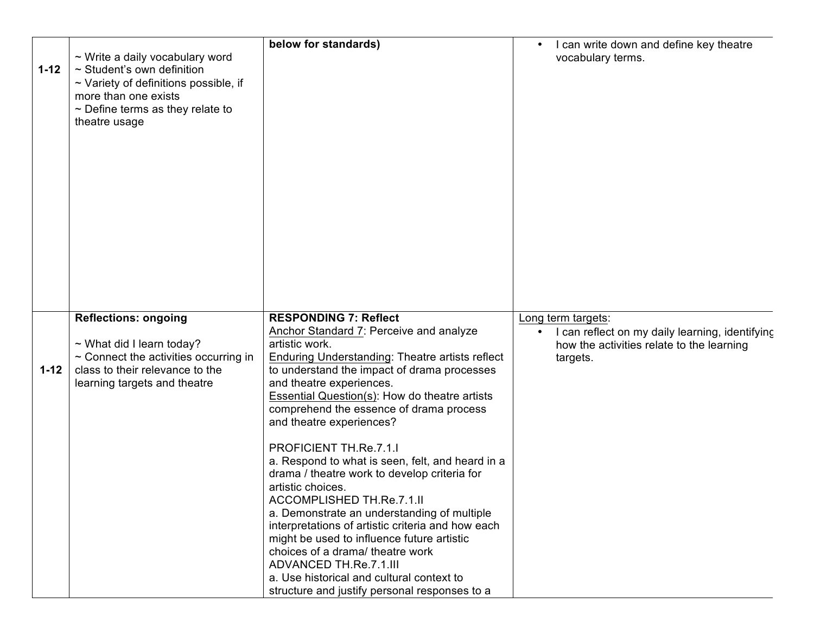| $1 - 12$ | $\sim$ Write a daily vocabulary word<br>~ Student's own definition<br>$\sim$ Variety of definitions possible, if<br>more than one exists<br>$\sim$ Define terms as they relate to<br>theatre usage | below for standards)                                                                                                                                                                                                                                                                                                                                          | I can write down and define key theatre<br>$\bullet$<br>vocabulary terms.                                                      |             |
|----------|----------------------------------------------------------------------------------------------------------------------------------------------------------------------------------------------------|---------------------------------------------------------------------------------------------------------------------------------------------------------------------------------------------------------------------------------------------------------------------------------------------------------------------------------------------------------------|--------------------------------------------------------------------------------------------------------------------------------|-------------|
|          |                                                                                                                                                                                                    |                                                                                                                                                                                                                                                                                                                                                               |                                                                                                                                | Sum         |
|          |                                                                                                                                                                                                    |                                                                                                                                                                                                                                                                                                                                                               |                                                                                                                                | <b>SPIR</b> |
| $1 - 12$ | <b>Reflections: ongoing</b><br>~ What did I learn today?<br>$\sim$ Connect the activities occurring in<br>class to their relevance to the<br>learning targets and theatre                          | <b>RESPONDING 7: Reflect</b><br>Anchor Standard 7: Perceive and analyze<br>artistic work.<br><b>Enduring Understanding: Theatre artists reflect</b><br>to understand the impact of drama processes<br>and theatre experiences.<br><b>Essential Question(s): How do theatre artists</b><br>comprehend the essence of drama process<br>and theatre experiences? | Long term targets:<br>I can reflect on my daily learning, identifying<br>how the activities relate to the learning<br>targets. | Forn        |
|          |                                                                                                                                                                                                    | PROFICIENT TH.Re.7.1.I<br>a. Respond to what is seen, felt, and heard in a<br>drama / theatre work to develop criteria for<br>artistic choices.<br>ACCOMPLISHED TH.Re.7.1.II<br>a. Demonstrate an understanding of multiple<br>interpretations of artistic criteria and how each                                                                              |                                                                                                                                | Sum         |
|          |                                                                                                                                                                                                    | might be used to influence future artistic<br>choices of a drama/ theatre work<br>ADVANCED TH.Re.7.1.III<br>a. Use historical and cultural context to<br>structure and justify personal responses to a                                                                                                                                                        |                                                                                                                                | <b>SPIF</b> |